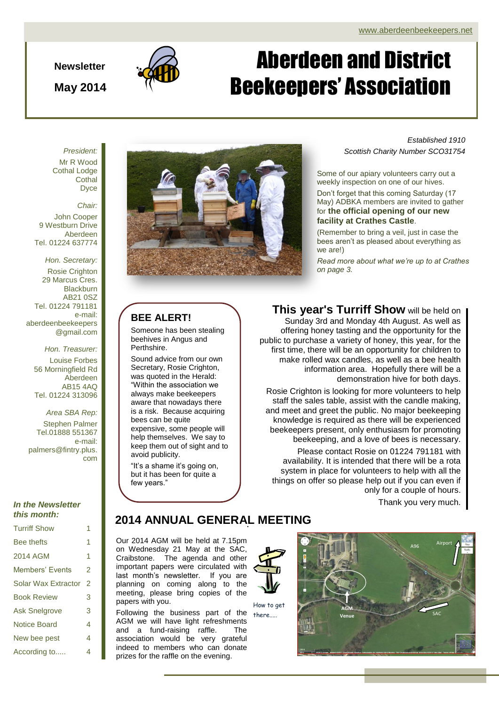#### **Newsletter**

**May 2014**



# Aberdeen and District Beekeepers' Association

*President:* Mr R Wood Cothal Lodge **Cothal** Dyce

#### *Chair:*

John Cooper 9 Westburn Drive Aberdeen Tel. 01224 637774

*Hon. Secretary:* Rosie Crighton 29 Marcus Cres. Blackburn AB21 0SZ Tel. 01224 791181 e-mail: aberdeenbeekeepers @gmail.com

> *Hon. Treasurer:* Louise Forbes 56 Morningfield Rd Aberdeen AB15 4AQ Tel. 01224 313096

*Area SBA Rep:* Stephen Palmer Tel.01888 551367 e-mail: palmers@fintry.plus. com

#### *In the Newsletter this month:*

| <b>Turriff Show</b>    | 1 |
|------------------------|---|
| <b>Bee thefts</b>      | 1 |
| 2014 AGM               | 1 |
| <b>Members' Events</b> | 2 |
| Solar Wax Extractor    | 2 |
| <b>Book Review</b>     | 3 |
| <b>Ask Snelgrove</b>   | 3 |
| <b>Notice Board</b>    | 4 |
| New bee pest           | 4 |
| According to           | 4 |



### **BEE ALERT!**

Someone has been stealing beehives in Angus and Perthshire.

Sound advice from our own Secretary, Rosie Crighton, was quoted in the Herald: "Within the association we always make beekeepers aware that nowadays there is a risk. Because acquiring bees can be quite expensive, some people will help themselves. We say to keep them out of sight and to avoid publicity.

"It's a shame it's going on, but it has been for quite a few years."

*Established 1910 Scottish Charity Number SCO31754*

Some of our apiary volunteers carry out a weekly inspection on one of our hives.

Don't forget that this coming Saturday (17 May) ADBKA members are invited to gather for **the official opening of our new facility at Crathes Castle**.

(Remember to bring a veil, just in case the bees aren't as pleased about everything as we are!)

*Read more about what we're up to at Crathes on page 3.*

**This year's Turriff Show** will be held on

Sunday 3rd and Monday 4th August. As well as offering honey tasting and the opportunity for the public to purchase a variety of honey, this year, for the first time, there will be an opportunity for children to make rolled wax candles, as well as a bee health information area. Hopefully there will be a demonstration hive for both days.

Rosie Crighton is looking for more volunteers to help staff the sales table, assist with the candle making, and meet and greet the public. No major beekeeping knowledge is required as there will be experienced beekeepers present, only enthusiasm for promoting beekeeping, and a love of bees is necessary.

Please contact Rosie on 01224 791181 with availability. It is intended that there will be a rota system in place for volunteers to help with all the things on offer so please help out if you can even if only for a couple of hours.

Thank you very much.

## . **2014 ANNUAL GENERAL MEETING**

Our 2014 AGM will be held at 7.15pm on Wednesday 21 May at the SAC, Craibstone. The agenda and other important papers were circulated with last month's newsletter. If you are planning on coming along to the meeting, please bring copies of the papers with you.

Following the business part of the AGM we will have light refreshments and a fund-raising raffle. The association would be very grateful indeed to members who can donate prizes for the raffle on the evening.



How to get

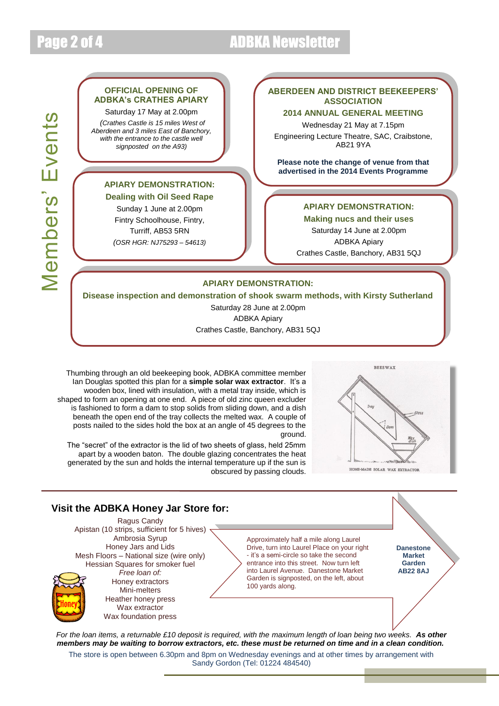# Page 2 of 4 ADBKA Newsletter

#### **OFFICIAL OPENING OF ADBKA's CRATHES APIARY**

Saturday 17 May at 2.00pm *(Crathes Castle is 15 miles West of* 

*Aberdeen and 3 miles East of Banchory, with the entrance to the castle well signposted on the A93)*

### **APIARY DEMONSTRATION:**

**Dealing with Oil Seed Rape** Sunday 1 June at 2.00pm Fintry Schoolhouse, Fintry, Turriff, AB53 5RN *(OSR HGR: NJ75293 – 54613)*

### **ABERDEEN AND DISTRICT BEEKEEPERS' ASSOCIATION**

**2014 ANNUAL GENERAL MEETING** Wednesday 21 May at 7.15pm Engineering Lecture Theatre, SAC, Craibstone, AB21 9YA

**Please note the change of venue from that advertised in the 2014 Events Programme**

### **APIARY DEMONSTRATION:**

**Making nucs and their uses** Saturday 14 June at 2.00pm ADBKA Apiary Crathes Castle, Banchory, AB31 5QJ

#### **APIARY DEMONSTRATION:**

**Disease inspection and demonstration of shook swarm methods, with Kirsty Sutherland**

Saturday 28 June at 2.00pm ADBKA Apiary Crathes Castle, Banchory, AB31 5QJ

Thumbing through an old beekeeping book, ADBKA committee member Ian Douglas spotted this plan for a **simple solar wax extractor**. It's a wooden box, lined with insulation, with a metal tray inside, which is shaped to form an opening at one end. A piece of old zinc queen excluder is fashioned to form a dam to stop solids from sliding down, and a dish beneath the open end of the tray collects the melted wax. A couple of posts nailed to the sides hold the box at an angle of 45 degrees to the ground.

The "secret" of the extractor is the lid of two sheets of glass, held 25mm apart by a wooden baton. The double glazing concentrates the heat generated by the sun and holds the internal temperature up if the sun is obscured by passing clouds.



### **Visit the ADBKA Honey Jar Store for:**

Ragus Candy Apistan (10 strips, sufficient for 5 hives) Ambrosia Syrup Honey Jars and Lids Mesh Floors – National size (wire only) Hessian Squares for smoker fuel *Free loan of:* Honey extractors Mini-melters Heather honey press Wax extractor

Wax foundation press

Approximately half a mile along Laurel Drive, turn into Laurel Place on your right - it's a semi-circle so take the second entrance into this street. Now turn left into Laurel Avenue. Danestone Market Garden is signposted, on the left, about 100 yards along.

**Danestone Market Garden AB22 8AJ**

*For the loan items, a returnable £10 deposit is required, with the maximum length of loan being two weeks. As other members may be waiting to borrow extractors, etc. these must be returned on time and in a clean condition.*

The store is open between 6.30pm and 8pm on Wednesday evenings and at other times by arrangement with Sandy Gordon (Tel: 01224 484540)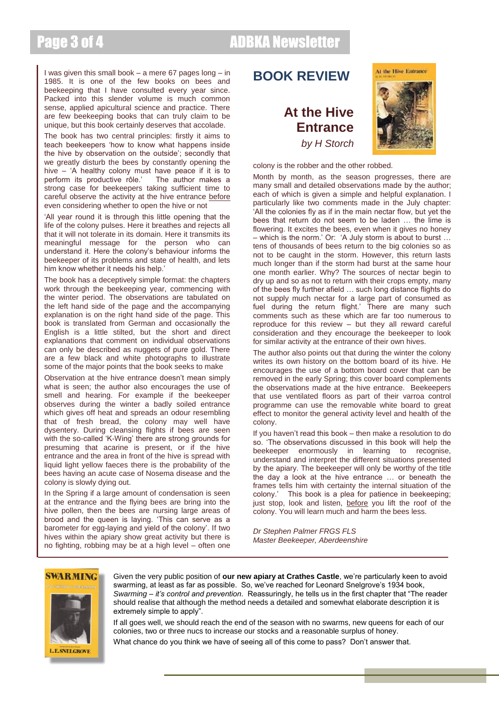# Page 3 of 4 ADBKA Newsletter

I was given this small book – a mere 67 pages long – in 1985. It is one of the few books on bees and beekeeping that I have consulted every year since. Packed into this slender volume is much common sense, applied apicultural science and practice. There are few beekeeping books that can truly claim to be unique, but this book certainly deserves that accolade.

The book has two central principles: firstly it aims to teach beekeepers 'how to know what happens inside the hive by observation on the outside'; secondly that we greatly disturb the bees by constantly opening the hive – 'A healthy colony must have peace if it is to perform its productive rôle.' The author makes a perform its productive rôle.' strong case for beekeepers taking sufficient time to careful observe the activity at the hive entrance before even considering whether to open the hive or not

'All year round it is through this little opening that the life of the colony pulses. Here it breathes and rejects all that it will not tolerate in its domain. Here it transmits its meaningful message for the person who can understand it. Here the colony's behaviour informs the beekeeper of its problems and state of health, and lets him know whether it needs his help.'

The book has a deceptively simple format: the chapters work through the beekeeping year, commencing with the winter period. The observations are tabulated on the left hand side of the page and the accompanying explanation is on the right hand side of the page. This book is translated from German and occasionally the English is a little stilted, but the short and direct explanations that comment on individual observations can only be described as nuggets of pure gold. There are a few black and white photographs to illustrate some of the major points that the book seeks to make

Observation at the hive entrance doesn't mean simply what is seen; the author also encourages the use of smell and hearing. For example if the beekeeper observes during the winter a badly soiled entrance which gives off heat and spreads an odour resembling that of fresh bread, the colony may well have dysentery. During cleansing flights if bees are seen with the so-called 'K-Wing' there are strong grounds for presuming that acarine is present, or if the hive entrance and the area in front of the hive is spread with liquid light yellow faeces there is the probability of the bees having an acute case of Nosema disease and the colony is slowly dying out.

In the Spring if a large amount of condensation is seen at the entrance and the flying bees are bring into the hive pollen, then the bees are nursing large areas of brood and the queen is laying. 'This can serve as a barometer for egg-laying and yield of the colony'. If two hives within the apiary show great activity but there is no fighting, robbing may be at a high level – often one

## **BOOK REVIEW**

## **At the Hive Entrance** *by H Storch*



colony is the robber and the other robbed.

Month by month, as the season progresses, there are many small and detailed observations made by the author; each of which is given a simple and helpful explanation. I particularly like two comments made in the July chapter: 'All the colonies fly as if in the main nectar flow, but yet the bees that return do not seem to be laden … the lime is flowering. It excites the bees, even when it gives no honey – which is the norm.' Or: 'A July storm is about to burst … tens of thousands of bees return to the big colonies so as not to be caught in the storm. However, this return lasts much longer than if the storm had burst at the same hour one month earlier. Why? The sources of nectar begin to dry up and so as not to return with their crops empty, many of the bees fly further afield … such long distance flights do not supply much nectar for a large part of consumed as fuel during the return flight.' There are many such comments such as these which are far too numerous to reproduce for this review – but they all reward careful consideration and they encourage the beekeeper to look for similar activity at the entrance of their own hives.

The author also points out that during the winter the colony writes its own history on the bottom board of its hive. He encourages the use of a bottom board cover that can be removed in the early Spring; this cover board complements the observations made at the hive entrance. Beekeepers that use ventilated floors as part of their varroa control programme can use the removable white board to great effect to monitor the general activity level and health of the colony.

If you haven't read this book – then make a resolution to do so. 'The observations discussed in this book will help the beekeeper enormously in learning to recognise, understand and interpret the different situations presented by the apiary. The beekeeper will only be worthy of the title the day a look at the hive entrance … or beneath the frames tells him with certainty the internal situation of the colony.' This book is a plea for patience in beekeeping; just stop, look and listen, before you lift the roof of the colony. You will learn much and harm the bees less.

*Dr Stephen Palmer FRGS FLS Master Beekeeper, Aberdeenshire*

#### **SWARMING**



Given the very public position of **our new apiary at Crathes Castle**, we're particularly keen to avoid swarming, at least as far as possible. So, we've reached for Leonard Snelgrove's 1934 book, *Swarming – it's control and prevention*. Reassuringly, he tells us in the first chapter that "The reader should realise that although the method needs a detailed and somewhat elaborate description it is extremely simple to apply".

If all goes well, we should reach the end of the season with no swarms, new queens for each of our colonies, two or three nucs to increase our stocks and a reasonable surplus of honey.

What chance do you think we have of seeing all of this come to pass? Don't answer that.